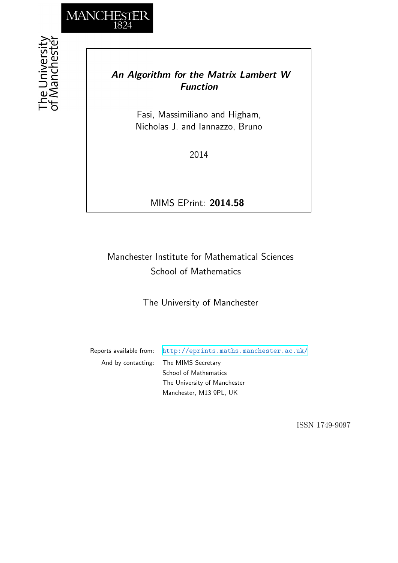

## *An Algorithm for the Matrix Lambert W Function*

Fasi, Massimiliano and Higham, Nicholas J. and Iannazzo, Bruno

2014

MIMS EPrint: **2014.58**

# Manchester Institute for Mathematical Sciences School of Mathematics

The University of Manchester

Reports available from: <http://eprints.maths.manchester.ac.uk/> And by contacting: The MIMS Secretary School of Mathematics The University of Manchester

Manchester, M13 9PL, UK

ISSN 1749-9097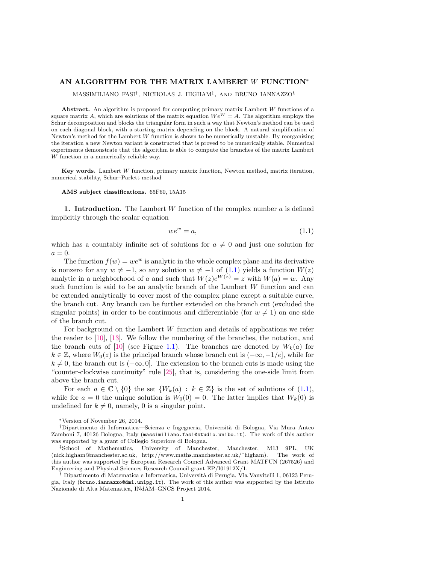### AN ALGORITHM FOR THE MATRIX LAMBERT W FUNCTION<sup>∗</sup>

MASSIMILIANO FASI† , NICHOLAS J. HIGHAM‡ , AND BRUNO IANNAZZO§

Abstract. An algorithm is proposed for computing primary matrix Lambert W functions of a square matrix A, which are solutions of the matrix equation  $We^{W} = A$ . The algorithm employs the Schur decomposition and blocks the triangular form in such a way that Newton's method can be used on each diagonal block, with a starting matrix depending on the block. A natural simplification of Newton's method for the Lambert  $W$  function is shown to be numerically unstable. By reorganizing the iteration a new Newton variant is constructed that is proved to be numerically stable. Numerical experiments demonstrate that the algorithm is able to compute the branches of the matrix Lambert W function in a numerically reliable way.

Key words. Lambert  $W$  function, primary matrix function, Newton method, matrix iteration, numerical stability, Schur–Parlett method

AMS subject classifications. 65F60, 15A15

<span id="page-1-1"></span>1. Introduction. The Lambert  $W$  function of the complex number  $a$  is defined implicitly through the scalar equation

<span id="page-1-0"></span>
$$
we^w = a,\tag{1.1}
$$

which has a countably infinite set of solutions for  $a \neq 0$  and just one solution for  $a=0.$ 

The function  $f(w) = we^w$  is analytic in the whole complex plane and its derivative is nonzero for any  $w \neq -1$ , so any solution  $w \neq -1$  of  $(1.1)$  yields a function  $W(z)$ analytic in a neighborhood of a and such that  $W(z)e^{W(z)} = z$  with  $W(a) = w$ . Any such function is said to be an analytic branch of the Lambert W function and can be extended analytically to cover most of the complex plane except a suitable curve, the branch cut. Any branch can be further extended on the branch cut (excluded the singular points) in order to be continuous and differentiable (for  $w \neq 1$ ) on one side of the branch cut.

For background on the Lambert W function and details of applications we refer the reader to [\[10\]](#page-16-0), [\[13\]](#page-16-1). We follow the numbering of the branches, the notation, and the branch cuts of [\[10\]](#page-16-0) (see Figure [1.1\)](#page-2-0). The branches are denoted by  $W_k(a)$  for  $k \in \mathbb{Z}$ , where  $W_0(z)$  is the principal branch whose branch cut is  $(-\infty, -1/e]$ , while for  $k \neq 0$ , the branch cut is  $(-\infty, 0]$ . The extension to the branch cuts is made using the "counter-clockwise continuity" rule [\[25\]](#page-17-0), that is, considering the one-side limit from above the branch cut.

For each  $a \in \mathbb{C} \setminus \{0\}$  the set  $\{W_k(a) : k \in \mathbb{Z}\}\$ is the set of solutions of  $(1.1)$ , while for  $a = 0$  the unique solution is  $W_0(0) = 0$ . The latter implies that  $W_k(0)$  is undefined for  $k \neq 0$ , namely, 0 is a singular point.

<sup>∗</sup>Version of November 26, 2014.

<sup>†</sup>Dipartimento di Informatica—Scienza e Ingegneria, Universit`a di Bologna, Via Mura Anteo Zamboni 7, 40126 Bologna, Italy (massimiliano.fasi@studio.unibo.it). The work of this author was supported by a grant of Collegio Superiore di Bologna.

<sup>&</sup>lt;sup>‡</sup>School of Mathematics, University of Manchester, Manchester, M13 9PL, UK (nick.higham@manchester.ac.uk, http://www.maths.manchester.ac.uk/˜higham). The work of this author was supported by European Research Council Advanced Grant MATFUN (267526) and Engineering and Physical Sciences Research Council grant EP/I01912X/1.

 $\frac{1}{3}$  Dipartimento di Matematica e Informatica, Università di Perugia, Via Vanvitelli 1, 06123 Perugia, Italy (bruno.iannazzo@dmi.unipg.it). The work of this author was supported by the Istituto Nazionale di Alta Matematica, INdAM–GNCS Project 2014.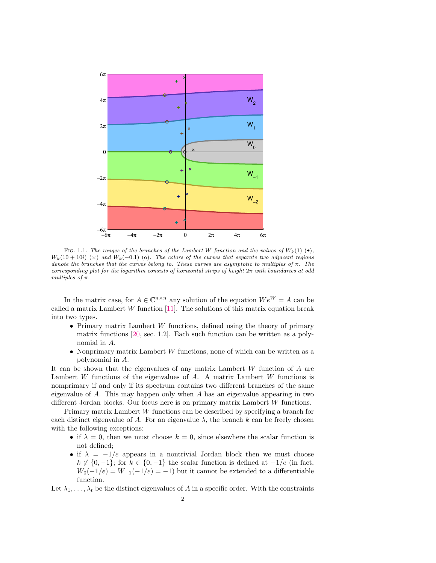

<span id="page-2-0"></span>FIG. 1.1. The ranges of the branches of the Lambert W function and the values of  $W_k(1)$  (+),  $W_k(10+10i)$  (×) and  $W_k(-0.1)$  (o). The colors of the curves that separate two adjacent regions denote the branches that the curves belong to. These curves are asymptotic to multiples of  $\pi$ . The corresponding plot for the logarithm consists of horizontal strips of height  $2\pi$  with boundaries at odd multiples of π.

In the matrix case, for  $A \in \mathbb{C}^{n \times n}$  any solution of the equation  $We^{W} = A$  can be called a matrix Lambert  $W$  function [\[11\]](#page-16-2). The solutions of this matrix equation break into two types.

- Primary matrix Lambert W functions, defined using the theory of primary matrix functions [\[20,](#page-17-1) sec. 1.2]. Each such function can be written as a polynomial in A.
- Nonprimary matrix Lambert  $W$  functions, none of which can be written as a polynomial in A.

It can be shown that the eigenvalues of any matrix Lambert  $W$  function of  $A$  are Lambert W functions of the eigenvalues of A. A matrix Lambert W functions is nomprimary if and only if its spectrum contains two different branches of the same eigenvalue of  $A$ . This may happen only when  $A$  has an eigenvalue appearing in two different Jordan blocks. Our focus here is on primary matrix Lambert W functions.

Primary matrix Lambert W functions can be described by specifying a branch for each distinct eigenvalue of A. For an eigenvalue  $\lambda$ , the branch k can be freely chosen with the following exceptions:

- if  $\lambda = 0$ , then we must choose  $k = 0$ , since elsewhere the scalar function is not defined;
- if  $\lambda = -1/e$  appears in a nontrivial Jordan block then we must choose  $k \notin \{0, -1\}$ ; for  $k \in \{0, -1\}$  the scalar function is defined at  $-1/e$  (in fact,  $W_0(-1/e) = W_{-1}(-1/e) = -1$ ) but it cannot be extended to a differentiable function.

Let  $\lambda_1, \ldots, \lambda_t$  be the distinct eigenvalues of A in a specific order. With the constraints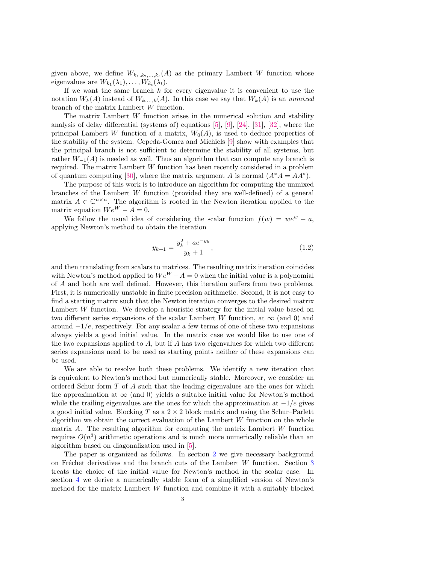given above, we define  $W_{k_1,k_2,...,k_t}(A)$  as the primary Lambert W function whose eigenvalues are  $W_{k_1}(\lambda_1), \ldots, W_{k_t}(\lambda_t)$ .

If we want the same branch  $k$  for every eigenvalue it is convenient to use the notation  $W_k(A)$  instead of  $W_{k,\dots,k}(A)$ . In this case we say that  $W_k(A)$  is an unmixed branch of the matrix Lambert W function.

The matrix Lambert W function arises in the numerical solution and stability analysis of delay differential (systems of) equations [\[5\]](#page-16-3), [\[9\]](#page-16-4), [\[24\]](#page-17-2), [\[31\]](#page-17-3), [\[32\]](#page-17-4), where the principal Lambert W function of a matrix,  $W_0(A)$ , is used to deduce properties of the stability of the system. Cepeda-Gomez and Michiels [\[9\]](#page-16-4) show with examples that the principal branch is not sufficient to determine the stability of all systems, but rather  $W_{-1}(A)$  is needed as well. Thus an algorithm that can compute any branch is required. The matrix Lambert W function has been recently considered in a problem of quantum computing [\[30\]](#page-17-5), where the matrix argument A is normal  $(A^*A = AA^*)$ .

The purpose of this work is to introduce an algorithm for computing the unmixed branches of the Lambert W function (provided they are well-defined) of a general matrix  $A \in \mathbb{C}^{n \times n}$ . The algorithm is rooted in the Newton iteration applied to the matrix equation  $We^{W} - A = 0$ .

We follow the usual idea of considering the scalar function  $f(w) = we^w - a$ , applying Newton's method to obtain the iteration

$$
y_{k+1} = \frac{y_k^2 + ae^{-y_k}}{y_k + 1},
$$
\n(1.2)

and then translating from scalars to matrices. The resulting matrix iteration coincides with Newton's method applied to  $We^{W} - A = 0$  when the initial value is a polynomial of A and both are well defined. However, this iteration suffers from two problems. First, it is numerically unstable in finite precision arithmetic. Second, it is not easy to find a starting matrix such that the Newton iteration converges to the desired matrix Lambert W function. We develop a heuristic strategy for the initial value based on two different series expansions of the scalar Lambert W function, at  $\infty$  (and 0) and around  $-1/e$ , respectively. For any scalar a few terms of one of these two expansions always yields a good initial value. In the matrix case we would like to use one of the two expansions applied to  $A$ , but if  $A$  has two eigenvalues for which two different series expansions need to be used as starting points neither of these expansions can be used.

We are able to resolve both these problems. We identify a new iteration that is equivalent to Newton's method but numerically stable. Moreover, we consider an ordered Schur form T of A such that the leading eigenvalues are the ones for which the approximation at  $\infty$  (and 0) yields a suitable initial value for Newton's method while the trailing eigenvalues are the ones for which the approximation at  $-1/e$  gives a good initial value. Blocking T as a  $2 \times 2$  block matrix and using the Schur–Parlett algorithm we obtain the correct evaluation of the Lambert  $W$  function on the whole matrix A. The resulting algorithm for computing the matrix Lambert W function requires  $O(n^3)$  arithmetic operations and is much more numerically reliable than an algorithm based on diagonalization used in [\[5\]](#page-16-3).

The paper is organized as follows. In section [2](#page-4-0) we give necessary background on Fréchet derivatives and the branch cuts of the Lambert W function. Section  $3$ treats the choice of the initial value for Newton's method in the scalar case. In section [4](#page-7-0) we derive a numerically stable form of a simplified version of Newton's method for the matrix Lambert  $W$  function and combine it with a suitably blocked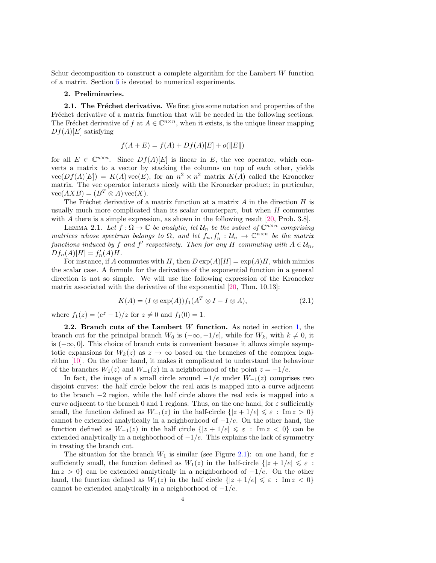Schur decomposition to construct a complete algorithm for the Lambert  $W$  function of a matrix. Section [5](#page-12-0) is devoted to numerical experiments.

#### <span id="page-4-0"></span>2. Preliminaries.

**2.1. The Fréchet derivative.** We first give some notation and properties of the Fréchet derivative of a matrix function that will be needed in the following sections. The Fréchet derivative of f at  $A \in \mathbb{C}^{n \times n}$ , when it exists, is the unique linear mapping  $Df(A)[E]$  satisfying

$$
f(A + E) = f(A) + Df(A)[E] + o(||E||)
$$

for all  $E \in \mathbb{C}^{n \times n}$ . Since  $Df(A)[E]$  is linear in E, the vec operator, which converts a matrix to a vector by stacking the columns on top of each other, yields  $vec(Df(A)[E]) = K(A) \text{vec}(E)$ , for an  $n^2 \times n^2$  matrix  $K(A)$  called the Kronecker matrix. The vec operator interacts nicely with the Kronecker product; in particular,  $vec(AXB) = (B^T \otimes A)vec(X).$ 

The Fréchet derivative of a matrix function at a matrix  $A$  in the direction  $H$  is usually much more complicated than its scalar counterpart, but when  $H$  commutes with A there is a simple expression, as shown in the following result [\[20,](#page-17-1) Prob. 3.8].

<span id="page-4-2"></span>LEMMA 2.1. Let  $f : \Omega \to \mathbb{C}$  be analytic, let  $\mathcal{U}_n$  be the subset of  $\mathbb{C}^{n \times n}$  comprising matrices whose spectrum belongs to  $\Omega$ , and let  $f_n, f'_n : \mathcal{U}_n \to \mathbb{C}^{n \times n}$  be the matrix functions induced by f and f' respectively. Then for any H commuting with  $A \in \mathcal{U}_n$ ,  $Df_n(A)[H] = f'_n(A)H.$ 

For instance, if A commutes with H, then  $D \exp(A)[H] = \exp(A)H$ , which mimics the scalar case. A formula for the derivative of the exponential function in a general direction is not so simple. We will use the following expression of the Kronecker matrix associated with the derivative of the exponential [\[20,](#page-17-1) Thm. 10.13]:

<span id="page-4-3"></span>
$$
K(A) = (I \otimes \exp(A)) f_1(A^T \otimes I - I \otimes A), \tag{2.1}
$$

where  $f_1(z) = (e^z - 1)/z$  for  $z \neq 0$  and  $f_1(0) = 1$ .

<span id="page-4-1"></span>**2.2.** Branch cuts of the Lambert W function. As noted in section  $1$ , the branch cut for the principal branch  $W_0$  is  $(-\infty, -1/e]$ , while for  $W_k$ , with  $k \neq 0$ , it is  $(-\infty, 0]$ . This choice of branch cuts is convenient because it allows simple asymptotic expansions for  $W_k(z)$  as  $z \to \infty$  based on the branches of the complex logarithm [\[10\]](#page-16-0). On the other hand, it makes it complicated to understand the behaviour of the branches  $W_1(z)$  and  $W_{-1}(z)$  in a neighborhood of the point  $z = -1/e$ .

In fact, the image of a small circle around  $-1/e$  under  $W_{-1}(z)$  comprises two disjoint curves: the half circle below the real axis is mapped into a curve adjacent to the branch −2 region, while the half circle above the real axis is mapped into a curve adjacent to the branch 0 and 1 regions. Thus, on the one hand, for  $\varepsilon$  sufficiently small, the function defined as  $W_{-1}(z)$  in the half-circle  $\{|z + 1/e| \leq \varepsilon : \text{Im } z > 0\}$ cannot be extended analytically in a neighborhood of  $-1/e$ . On the other hand, the function defined as  $W_{-1}(z)$  in the half circle  $\{|z + 1/e| \leqslant \varepsilon : \text{Im } z < 0\}$  can be extended analytically in a neighborhood of  $-1/e$ . This explains the lack of symmetry in treating the branch cut.

The situation for the branch  $W_1$  is similar (see Figure [2.1\)](#page-2-0): on one hand, for  $\varepsilon$ sufficiently small, the function defined as  $W_1(z)$  in the half-circle  $\{|z + 1/e| \leq \varepsilon :$ Im  $z > 0$ } can be extended analytically in a neighborhood of  $-1/e$ . On the other hand, the function defined as  $W_1(z)$  in the half circle  $\{|z + 1/e| \leq \varepsilon : \text{Im } z < 0\}$ cannot be extended analytically in a neighborhood of  $-1/e$ .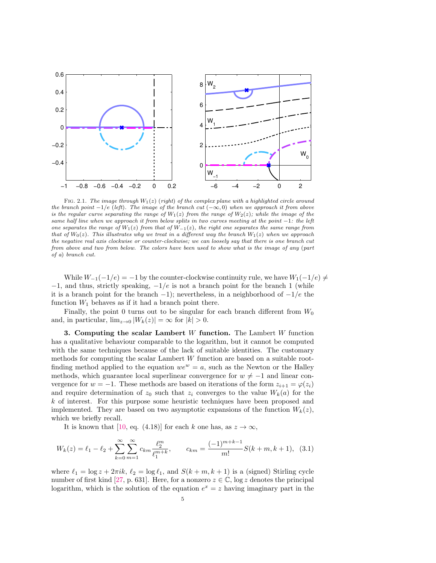

FIG. 2.1. The image through  $W_1(z)$  (right) of the complex plane with a highlighted circle around the branch point  $-1/e$  (left). The image of the branch cut  $(-\infty, 0)$  when we approach it from above is the regular curve separating the range of  $W_1(z)$  from the range of  $W_2(z)$ ; while the image of the same half line when we approach it from below splits in two curves meeting at the point  $-1$ : the left one separates the range of  $W_1(z)$  from that of  $W_{-1}(z)$ , the right one separates the same range from that of  $W_0(z)$ . This illustrates why we treat in a different way the branch  $W_1(z)$  when we approach the negative real axis clockwise or counter-clockwise; we can loosely say that there is one branch cut from above and two from below. The colors have been used to show what is the image of any (part of a) branch cut.

While  $W_{-1}(-1/e) = -1$  by the counter-clockwise continuity rule, we have  $W_1(-1/e) \neq$  $-1$ , and thus, strictly speaking,  $-1/e$  is not a branch point for the branch 1 (while it is a branch point for the branch  $-1$ ); nevertheless, in a neighborhood of  $-1/e$  the function  $W_1$  behaves as if it had a branch point there.

Finally, the point 0 turns out to be singular for each branch different from  $W_0$ and, in particular,  $\lim_{z\to 0} |W_k(z)| = \infty$  for  $|k| > 0$ .

<span id="page-5-0"></span>3. Computing the scalar Lambert W function. The Lambert W function has a qualitative behaviour comparable to the logarithm, but it cannot be computed with the same techniques because of the lack of suitable identities. The customary methods for computing the scalar Lambert W function are based on a suitable rootfinding method applied to the equation  $we^w = a$ , such as the Newton or the Halley methods, which guarantee local superlinear convergence for  $w \neq -1$  and linear convergence for  $w = -1$ . These methods are based on iterations of the form  $z_{i+1} = \varphi(z_i)$ and require determination of  $z_0$  such that  $z_i$  converges to the value  $W_k(a)$  for the k of interest. For this purpose some heuristic techniques have been proposed and implemented. They are based on two asymptotic expansions of the function  $W_k(z)$ , which we briefly recall.

It is known that [\[10,](#page-16-0) eq. (4.18)] for each k one has, as  $z \to \infty$ ,

$$
W_k(z) = \ell_1 - \ell_2 + \sum_{k=0}^{\infty} \sum_{m=1}^{\infty} c_{km} \frac{\ell_2^m}{\ell_1^{m+k}}, \qquad c_{km} = \frac{(-1)^{m+k-1}}{m!} S(k+m, k+1), \tag{3.1}
$$

where  $\ell_1 = \log z + 2\pi i k$ ,  $\ell_2 = \log \ell_1$ , and  $S(k + m, k + 1)$  is a (signed) Stirling cycle number of first kind [\[27,](#page-17-6) p. 631]. Here, for a nonzero  $z \in \mathbb{C}$ , log z denotes the principal logarithm, which is the solution of the equation  $e^x = z$  having imaginary part in the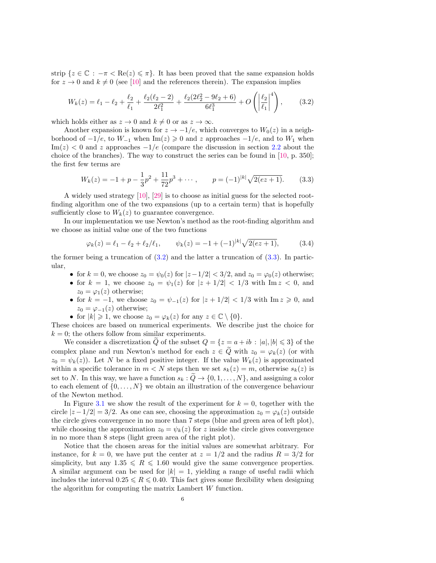strip  $\{z \in \mathbb{C} : -\pi < \text{Re}(z) \leq \pi\}$ . It has been proved that the same expansion holds for  $z \to 0$  and  $k \neq 0$  (see [\[10\]](#page-16-0) and the references therein). The expansion implies

<span id="page-6-0"></span>
$$
W_k(z) = \ell_1 - \ell_2 + \frac{\ell_2}{\ell_1} + \frac{\ell_2(\ell_2 - 2)}{2\ell_1^2} + \frac{\ell_2(2\ell_2^2 - 9\ell_2 + 6)}{6\ell_1^3} + O\left(\left|\frac{\ell_2}{\ell_1}\right|^4\right),\tag{3.2}
$$

which holds either as  $z \to 0$  and  $k \neq 0$  or as  $z \to \infty$ .

Another expansion is known for  $z \to -1/e$ , which converges to  $W_0(z)$  in a neighborhood of  $-1/e$ , to  $W_{-1}$  when Im(z)  $\geq 0$  and z approaches  $-1/e$ , and to  $W_1$  when  $\text{Im}(z) < 0$  and z approaches  $-1/e$  (compare the discussion in section [2.2](#page-4-1) about the choice of the branches). The way to construct the series can be found in [\[10,](#page-16-0) p. 350]; the first few terms are

<span id="page-6-1"></span>
$$
W_k(z) = -1 + p - \frac{1}{3}p^2 + \frac{11}{72}p^3 + \cdots, \qquad p = (-1)^{|k|} \sqrt{2(ez+1)}.
$$
 (3.3)

A widely used strategy [\[10\]](#page-16-0), [\[29\]](#page-17-7) is to choose as initial guess for the selected rootfinding algorithm one of the two expansions (up to a certain term) that is hopefully sufficiently close to  $W_k(z)$  to guarantee convergence.

In our implementation we use Newton's method as the root-finding algorithm and we choose as initial value one of the two functions

<span id="page-6-2"></span>
$$
\varphi_k(z) = \ell_1 - \ell_2 + \ell_2/\ell_1, \qquad \psi_k(z) = -1 + (-1)^{|k|} \sqrt{2(ez+1)}, \tag{3.4}
$$

the former being a truncation of  $(3.2)$  and the latter a truncation of  $(3.3)$ . In particular,

- for  $k = 0$ , we choose  $z_0 = \psi_0(z)$  for  $|z 1/2| < 3/2$ , and  $z_0 = \varphi_0(z)$  otherwise;
- for  $k = 1$ , we choose  $z_0 = \psi_1(z)$  for  $|z + 1/2| < 1/3$  with  $\text{Im } z < 0$ , and  $z_0 = \varphi_1(z)$  otherwise;
- for  $k = -1$ , we choose  $z_0 = \psi_{-1}(z)$  for  $|z + 1/2| < 1/3$  with  $\text{Im } z \ge 0$ , and  $z_0 = \varphi_{-1}(z)$  otherwise;
- for  $|k| \geq 1$ , we choose  $z_0 = \varphi_k(z)$  for any  $z \in \mathbb{C} \setminus \{0\}.$

These choices are based on numerical experiments. We describe just the choice for  $k = 0$ ; the others follow from similar experiments.

We consider a discretization Q of the subset  $Q = \{z = a + ib : |a|, |b| \leq 3\}$  of the complex plane and run Newton's method for each  $z \in \tilde{Q}$  with  $z_0 = \varphi_k(z)$  (or with  $z_0 = \psi_k(z)$ . Let N be a fixed positive integer. If the value  $W_k(z)$  is approximated within a specific tolerance in  $m < N$  steps then we set  $s_k(z) = m$ , otherwise  $s_k(z)$  is set to N. In this way, we have a function  $s_k : \tilde{Q} \to \{0, 1, \ldots, N\}$ , and assigning a color to each element of  $\{0, \ldots, N\}$  we obtain an illustration of the convergence behaviour of the Newton method.

In Figure [3.1](#page-2-0) we show the result of the experiment for  $k = 0$ , together with the circle  $|z-1/2|=3/2$ . As one can see, choosing the approximation  $z_0 = \varphi_k(z)$  outside the circle gives convergence in no more than 7 steps (blue and green area of left plot), while choosing the approximation  $z_0 = \psi_k(z)$  for z inside the circle gives convergence in no more than 8 steps (light green area of the right plot).

Notice that the chosen areas for the initial values are somewhat arbitrary. For instance, for  $k = 0$ , we have put the center at  $z = 1/2$  and the radius  $R = 3/2$  for simplicity, but any  $1.35 \le R \le 1.60$  would give the same convergence properties. A similar argument can be used for  $|k| = 1$ , yielding a range of useful radii which includes the interval  $0.25 \le R \le 0.40$ . This fact gives some flexibility when designing the algorithm for computing the matrix Lambert W function.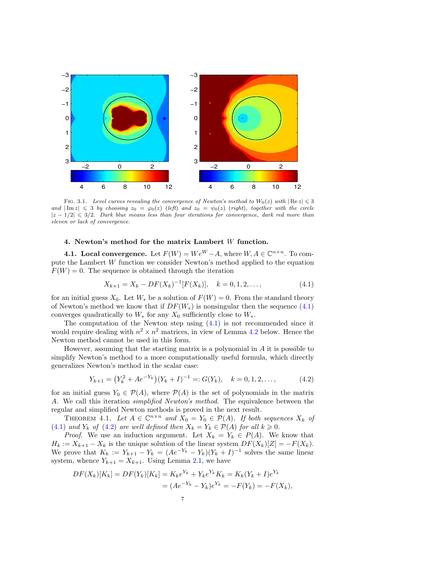

FIG. 3.1. Level curves revealing the convergence of Newton's method to  $W_0(z)$  with  $|\text{Re } z| \leq 3$ and  $|\text{Im } z| \leq 3$  by choosing  $z_0 = \varphi_0(z)$  (left) and  $z_0 = \psi_0(z)$  (right), together with the circle  $|z - 1/2| \leq 3/2$ . Dark blue means less than four iterations for convergence, dark red more than eleven or lack of convergence.

### 4. Newton's method for the matrix Lambert W function.

<span id="page-7-0"></span>**4.1. Local convergence.** Let  $F(W) = We^W - A$ , where  $W, A \in \mathbb{C}^{n \times n}$ . To compute the Lambert W function we consider Newton's method applied to the equation  $F(W) = 0$ . The sequence is obtained through the iteration

<span id="page-7-1"></span>
$$
X_{k+1} = X_k - DF(X_k)^{-1}[F(X_k)], \quad k = 0, 1, 2, \dots,
$$
\n(4.1)

for an initial guess  $X_0$ . Let  $W_*$  be a solution of  $F(W) = 0$ . From the standard theory of Newton's method we know that if  $DF(W_*)$  is nonsingular then the sequence [\(4.1\)](#page-7-1) converges quadratically to  $W_*$  for any  $X_0$  sufficiently close to  $W_*$ .

The computation of the Newton step using  $(4.1)$  is not recommended since it would require dealing with  $n^2 \times n^2$  matrices, in view of Lemma [4.2](#page-8-0) below. Hence the Newton method cannot be used in this form.

However, assuming that the starting matrix is a polynomial in  $A$  it is possible to simplify Newton's method to a more computationally useful formula, which directly generalizes Newton's method in the scalar case:

<span id="page-7-2"></span>
$$
Y_{k+1} = (Y_k^2 + Ae^{-Y_k})(Y_k + I)^{-1} =: G(Y_k), \quad k = 0, 1, 2, \dots,
$$
 (4.2)

for an initial guess  $Y_0 \in \mathcal{P}(A)$ , where  $\mathcal{P}(A)$  is the set of polynomials in the matrix A. We call this iteration simplified Newton's method. The equivalence between the regular and simplified Newton methods is proved in the next result.

THEOREM 4.1. Let  $A \in \mathbb{C}^{n \times n}$  and  $X_0 = Y_0 \in \mathcal{P}(A)$ . If both sequences  $X_k$  of [\(4.1\)](#page-7-1) and  $Y_k$  of [\(4.2\)](#page-7-2) are well defined then  $X_k = Y_k \in \mathcal{P}(A)$  for all  $k \geq 0$ .

*Proof.* We use an induction argument. Let  $X_k = Y_k \in P(A)$ . We know that  $H_k := X_{k+1} - X_k$  is the unique solution of the linear system  $DF(X_k)[Z] = -F(X_k)$ . We prove that  $K_k := Y_{k+1} - Y_k = (Ae^{-Y_k} - Y_k)(Y_k + I)^{-1}$  solves the same linear system, whence  $Y_{k+1} = X_{k+1}$ . Using Lemma [2.1,](#page-4-2) we have

$$
DF(X_k)[K_k] = DF(Y_k)[K_k] = K_k e^{Y_k} + Y_k e^{Y_k} K_k = K_k (Y_k + I) e^{Y_k}
$$
  
=  $(Ae^{-Y_k} - Y_k)e^{Y_k} = -F(Y_k) = -F(X_k),$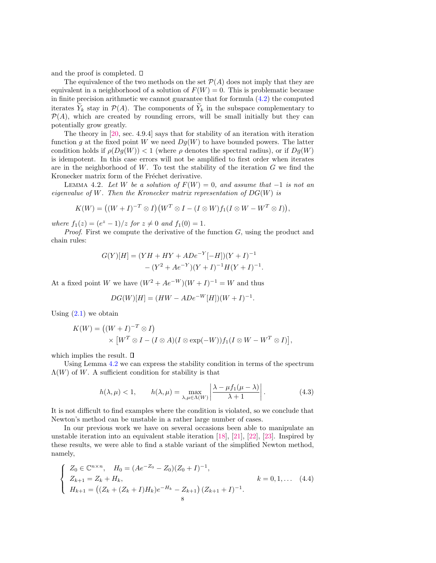and the proof is completed.  $\square$ 

The equivalence of the two methods on the set  $\mathcal{P}(A)$  does not imply that they are equivalent in a neighborhood of a solution of  $F(W) = 0$ . This is problematic because in finite precision arithmetic we cannot guarantee that for formula [\(4.2\)](#page-7-2) the computed iterates  $Y_k$  stay in  $\mathcal{P}(A)$ . The components of  $\tilde{Y}_k$  in the subspace complementary to  $\mathcal{P}(A)$ , which are created by rounding errors, will be small initially but they can potentially grow greatly.

The theory in [\[20,](#page-17-1) sec. 4.9.4] says that for stability of an iteration with iteration function g at the fixed point W we need  $Dq(W)$  to have bounded powers. The latter condition holds if  $\rho(Dg(W)) < 1$  (where  $\rho$  denotes the spectral radius), or if  $Dg(W)$ is idempotent. In this case errors will not be amplified to first order when iterates are in the neighborhood of  $W$ . To test the stability of the iteration  $G$  we find the Kronecker matrix form of the Fréchet derivative.

<span id="page-8-0"></span>LEMMA 4.2. Let W be a solution of  $F(W) = 0$ , and assume that  $-1$  is not an eigenvalue of W. Then the Kronecker matrix representation of  $DG(W)$  is

$$
K(W) = ((W + I)^{-T} \otimes I)(W^T \otimes I - (I \otimes W)f_1(I \otimes W - W^T \otimes I)),
$$

where  $f_1(z) = (e^z - 1)/z$  for  $z \neq 0$  and  $f_1(0) = 1$ .

*Proof.* First we compute the derivative of the function  $G$ , using the product and chain rules:

$$
G(Y)[H] = (YH + HY + ADe^{-Y}[-H])(Y + I)^{-1}
$$

$$
- (Y^2 + Ae^{-Y})(Y + I)^{-1}H(Y + I)^{-1}.
$$

At a fixed point W we have  $(W^2 + Ae^{-W})(W + I)^{-1} = W$  and thus

$$
DG(W)[H] = (HW - ADe^{-W}[H])(W + I)^{-1}.
$$

Using  $(2.1)$  we obtain

$$
K(W) = ((W + I)^{-T} \otimes I)
$$
  
 
$$
\times [W^T \otimes I - (I \otimes A)(I \otimes \exp(-W))f_1(I \otimes W - W^T \otimes I)],
$$

which implies the result.  $\square$ 

Using Lemma [4.2](#page-8-0) we can express the stability condition in terms of the spectrum  $\Lambda(W)$  of W. A sufficient condition for stability is that

$$
h(\lambda, \mu) < 1, \qquad h(\lambda, \mu) = \max_{\lambda, \mu \in \Lambda(W)} \left| \frac{\lambda - \mu f_1(\mu - \lambda)}{\lambda + 1} \right|.
$$
\n(4.3)

It is not difficult to find examples where the condition is violated, so we conclude that Newton's method can be unstable in a rather large number of cases.

In our previous work we have on several occasions been able to manipulate an unstable iteration into an equivalent stable iteration [\[18\]](#page-17-8), [\[21\]](#page-17-9), [\[22\]](#page-17-10), [\[23\]](#page-17-11). Inspired by these results, we were able to find a stable variant of the simplified Newton method, namely,

<span id="page-8-1"></span>
$$
\begin{cases}\nZ_0 \in \mathbb{C}^{n \times n}, & H_0 = (Ae^{-Z_0} - Z_0)(Z_0 + I)^{-1}, \\
Z_{k+1} = Z_k + H_k, & k = 0, 1, \dots \ (4.4) \\
H_{k+1} = ((Z_k + (Z_k + I)H_k)e^{-H_k} - Z_{k+1})(Z_{k+1} + I)^{-1}.\n\end{cases}
$$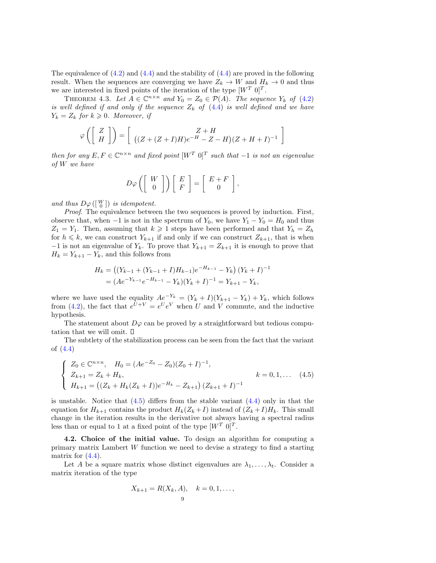The equivalence of  $(4.2)$  and  $(4.4)$  and the stability of  $(4.4)$  are proved in the following result. When the sequences are converging we have  $Z_k \to W$  and  $H_k \to 0$  and thus we are interested in fixed points of the iteration of the type  $[W^T\ 0]^T$ .

THEOREM 4.3. Let  $A \in \mathbb{C}^{n \times n}$  and  $Y_0 = Z_0 \in \mathcal{P}(A)$ . The sequence  $Y_k$  of [\(4.2\)](#page-7-2) is well defined if and only if the sequence  $Z_k$  of  $(4.4)$  is well defined and we have  $Y_k = Z_k$  for  $k \geqslant 0$ . Moreover, if

$$
\varphi\left(\left[\begin{array}{c} Z \\ H \end{array}\right]\right) = \left[\begin{array}{c} Z + H \\ ((Z + (Z + I)H)e^{-H} - Z - H)(Z + H + I)^{-1} \end{array}\right]
$$

then for any  $E, F \in \mathbb{C}^{n \times n}$  and fixed point  $[W^T \ 0]^T$  such that  $-1$  is not an eigenvalue of W we have

$$
D\varphi\left(\left[\begin{array}{c} W \\ 0 \end{array}\right]\right)\left[\begin{array}{c} E \\ F \end{array}\right]=\left[\begin{array}{c} E+F \\ 0 \end{array}\right],
$$

and thus  $D\varphi([W])$  is idempotent.

Proof. The equivalence between the two sequences is proved by induction. First, observe that, when −1 is not in the spectrum of  $Y_0$ , we have  $Y_1 - Y_0 = H_0$  and thus  $Z_1 = Y_1$ . Then, assuming that  $k \geq 1$  steps have been performed and that  $Y_h = Z_h$ for  $h \leq k$ , we can construct  $Y_{k+1}$  if and only if we can construct  $Z_{k+1}$ , that is when −1 is not an eigenvalue of  $Y_k$ . To prove that  $Y_{k+1} = Z_{k+1}$  it is enough to prove that  $H_k = Y_{k+1} - Y_k$ , and this follows from

$$
H_k = ((Y_{k-1} + (Y_{k-1} + I)H_{k-1})e^{-H_{k-1}} - Y_k)(Y_k + I)^{-1}
$$
  
=  $(Ae^{-Y_{k-1}}e^{-H_{k-1}} - Y_k)(Y_k + I)^{-1} = Y_{k+1} - Y_k,$ 

where we have used the equality  $Ae^{-Y_k} = (Y_k + I)(Y_{k+1} - Y_k) + Y_k$ , which follows from [\(4.2\)](#page-7-2), the fact that  $e^{U+V} = e^U e^V$  when U and V commute, and the inductive hypothesis.

The statement about  $D\varphi$  can be proved by a straightforward but tedious computation that we will omit.  $\square$ 

The subtlety of the stabilization process can be seen from the fact that the variant of [\(4.4\)](#page-8-1)

<span id="page-9-0"></span>
$$
\begin{cases}\nZ_0 \in \mathbb{C}^{n \times n}, & H_0 = (Ae^{-Z_0} - Z_0)(Z_0 + I)^{-1}, \\
Z_{k+1} = Z_k + H_k, & k = 0, 1, \dots \\
H_{k+1} = ((Z_k + H_k(Z_k + I))e^{-H_k} - Z_{k+1})(Z_{k+1} + I)^{-1}\n\end{cases} (4.5)
$$

is unstable. Notice that  $(4.5)$  differs from the stable variant  $(4.4)$  only in that the equation for  $H_{k+1}$  contains the product  $H_k(Z_k+I)$  instead of  $(Z_k+I)H_k$ . This small change in the iteration results in the derivative not always having a spectral radius less than or equal to 1 at a fixed point of the type  $[W^T\ 0]^T$ .

4.2. Choice of the initial value. To design an algorithm for computing a primary matrix Lambert W function we need to devise a strategy to find a starting matrix for  $(4.4)$ .

Let A be a square matrix whose distinct eigenvalues are  $\lambda_1, \ldots, \lambda_t$ . Consider a matrix iteration of the type

$$
X_{k+1} = R(X_k, A), \quad k = 0, 1, \dots,
$$
<sup>9</sup>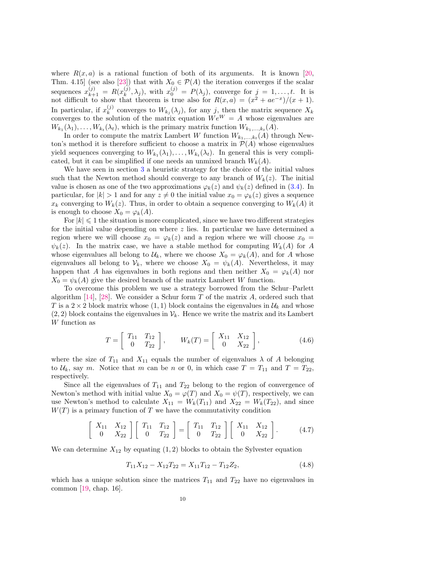where  $R(x, a)$  is a rational function of both of its arguments. It is known [\[20,](#page-17-1) Thm. 4.15] (see also [\[23\]](#page-17-11)) that with  $X_0 \in \mathcal{P}(A)$  the iteration converges if the scalar sequences  $x_{k+1}^{(j)} = R(x_k^{(j)})$  $(k, k, \lambda_j)$ , with  $x_0^{(j)} = P(\lambda_j)$ , converge for  $j = 1, \ldots, t$ . It is not difficult to show that theorem is true also for  $R(x, a) = (x^2 + ae^{-x})/(x+1)$ . In particular, if  $x_k^{(j)}$  $\mathcal{L}_{k}^{(j)}$  converges to  $W_{k_j}(\lambda_j)$ , for any j, then the matrix sequence  $X_k$ converges to the solution of the matrix equation  $We^{W} = A$  whose eigenvalues are  $W_{k_1}(\lambda_1), \ldots, W_{k_t}(\lambda_t)$ , which is the primary matrix function  $W_{k_1,\ldots,k_t}(A)$ .

In order to compute the matrix Lambert W function  $W_{k_1,\ldots,k_t}(A)$  through Newton's method it is therefore sufficient to choose a matrix in  $\mathcal{P}(A)$  whose eigenvalues yield sequences converging to  $W_{k_1}(\lambda_1), \ldots, W_{k_t}(\lambda_t)$ . In general this is very complicated, but it can be simplified if one needs an unmixed branch  $W_k(A)$ .

We have seen in section [3](#page-5-0) a heuristic strategy for the choice of the initial values such that the Newton method should converge to any branch of  $W_k(z)$ . The initial value is chosen as one of the two approximations  $\varphi_k(z)$  and  $\psi_k(z)$  defined in [\(3.4\)](#page-6-2). In particular, for  $|k| > 1$  and for any  $z \neq 0$  the initial value  $x_0 = \varphi_k(z)$  gives a sequence  $x_k$  converging to  $W_k(z)$ . Thus, in order to obtain a sequence converging to  $W_k(A)$  it is enough to choose  $X_0 = \varphi_k(A)$ .

For  $|k| \leq 1$  the situation is more complicated, since we have two different strategies for the initial value depending on where z lies. In particular we have determined a region where we will choose  $x_0 = \varphi_k(z)$  and a region where we will choose  $x_0 =$  $\psi_k(z)$ . In the matrix case, we have a stable method for computing  $W_k(A)$  for A whose eigenvalues all belong to  $\mathcal{U}_k$ , where we choose  $X_0 = \varphi_k(A)$ , and for A whose eigenvalues all belong to  $V_k$ , where we choose  $X_0 = \psi_k(A)$ . Nevertheless, it may happen that A has eigenvalues in both regions and then neither  $X_0 = \varphi_k(A)$  nor  $X_0 = \psi_k(A)$  give the desired branch of the matrix Lambert W function.

To overcome this problem we use a strategy borrowed from the Schur–Parlett algorithm  $[14]$ ,  $[28]$ . We consider a Schur form T of the matrix A, ordered such that T is a  $2 \times 2$  block matrix whose  $(1, 1)$  block contains the eigenvalues in  $\mathcal{U}_k$  and whose  $(2, 2)$  block contains the eigenvalues in  $\mathcal{V}_k$ . Hence we write the matrix and its Lambert W function as

<span id="page-10-0"></span>
$$
T = \begin{bmatrix} T_{11} & T_{12} \\ 0 & T_{22} \end{bmatrix}, \qquad W_k(T) = \begin{bmatrix} X_{11} & X_{12} \\ 0 & X_{22} \end{bmatrix}, \tag{4.6}
$$

where the size of  $T_{11}$  and  $X_{11}$  equals the number of eigenvalues  $\lambda$  of A belonging to  $\mathcal{U}_k$ , say m. Notice that m can be n or 0, in which case  $T = T_{11}$  and  $T = T_{22}$ , respectively.

Since all the eigenvalues of  $T_{11}$  and  $T_{22}$  belong to the region of convergence of Newton's method with initial value  $X_0 = \varphi(T)$  and  $X_0 = \psi(T)$ , respectively, we can use Newton's method to calculate  $X_{11} = W_k(T_{11})$  and  $X_{22} = W_k(T_{22})$ , and since  $W(T)$  is a primary function of T we have the commutativity condition

$$
\begin{bmatrix} X_{11} & X_{12} \\ 0 & X_{22} \end{bmatrix} \begin{bmatrix} T_{11} & T_{12} \\ 0 & T_{22} \end{bmatrix} = \begin{bmatrix} T_{11} & T_{12} \\ 0 & T_{22} \end{bmatrix} \begin{bmatrix} X_{11} & X_{12} \\ 0 & X_{22} \end{bmatrix}.
$$
 (4.7)

We can determine  $X_{12}$  by equating  $(1, 2)$  blocks to obtain the Sylvester equation

<span id="page-10-1"></span>
$$
T_{11}X_{12} - X_{12}T_{22} = X_{11}T_{12} - T_{12}Z_2, \t\t(4.8)
$$

which has a unique solution since the matrices  $T_{11}$  and  $T_{22}$  have no eigenvalues in common [\[19,](#page-17-14) chap. 16].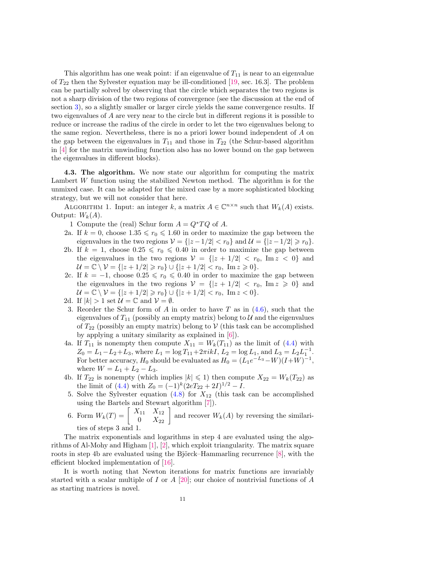This algorithm has one weak point: if an eigenvalue of  $T_{11}$  is near to an eigenvalue of  $T_{22}$  then the Sylvester equation may be ill-conditioned [\[19,](#page-17-14) sec. 16.3]. The problem can be partially solved by observing that the circle which separates the two regions is not a sharp division of the two regions of convergence (see the discussion at the end of section [3\)](#page-5-0), so a slightly smaller or larger circle yields the same convergence results. If two eigenvalues of A are very near to the circle but in different regions it is possible to reduce or increase the radius of the circle in order to let the two eigenvalues belong to the same region. Nevertheless, there is no a priori lower bound independent of A on the gap between the eigenvalues in  $T_{11}$  and those in  $T_{22}$  (the Schur-based algorithm in [\[4\]](#page-16-5) for the matrix unwinding function also has no lower bound on the gap between the eigenvalues in different blocks).

4.3. The algorithm. We now state our algorithm for computing the matrix Lambert W function using the stabilized Newton method. The algorithm is for the unmixed case. It can be adapted for the mixed case by a more sophisticated blocking strategy, but we will not consider that here.

<span id="page-11-0"></span>ALGORITHM 1. Input: an integer k, a matrix  $A \in \mathbb{C}^{n \times n}$  such that  $W_k(A)$  exists. Output:  $W_k(A)$ .

1 Compute the (real) Schur form  $A = Q^*TQ$  of A.

- 2a. If  $k = 0$ , choose  $1.35 \le r_0 \le 1.60$  in order to maximize the gap between the eigenvalues in the two regions  $V = \{ |z - 1/2| < r_0 \}$  and  $\mathcal{U} = \{ |z - 1/2| \ge r_0 \}.$
- 2b. If  $k = 1$ , choose  $0.25 \le r_0 \le 0.40$  in order to maximize the gap between the eigenvalues in the two regions  $V = \{ |z + 1/2| < r_0, \text{Im } z < 0 \}$  and  $\mathcal{U} = \mathbb{C} \setminus \mathcal{V} = \{ |z + 1/2| \geq r_0 \} \cup \{ |z + 1/2| < r_0, \text{ Im } z \geq 0 \}.$
- 2c. If  $k = -1$ , choose  $0.25 \le r_0 \le 0.40$  in order to maximize the gap between the eigenvalues in the two regions  $V = \{ |z + 1/2| < r_0, \text{Im } z \geq 0 \}$  and  $\mathcal{U} = \mathbb{C} \setminus \mathcal{V} = \{ |z + 1/2| \ge r_0 \} \cup \{ |z + 1/2| < r_0, \text{ Im } z < 0 \}.$
- 2d. If  $|k| > 1$  set  $\mathcal{U} = \mathbb{C}$  and  $\mathcal{V} = \emptyset$ .
- 3. Reorder the Schur form of A in order to have T as in  $(4.6)$ , such that the eigenvalues of  $T_{11}$  (possibly an empty matrix) belong to  $U$  and the eigenvalues of  $T_{22}$  (possibly an empty matrix) belong to V (this task can be accomplished by applying a unitary similarity as explained in [\[6\]](#page-16-6)).
- 4a. If  $T_{11}$  is nonempty then compute  $X_{11} = W_k(T_{11})$  as the limit of [\(4.4\)](#page-8-1) with  $Z_0 = L_1 - L_2 + L_3$ , where  $L_1 = \log T_{11} + 2\pi i kI$ ,  $L_2 = \log L_1$ , and  $L_3 = L_2 L_1^{-1}$ . For better accuracy,  $H_0$  should be evaluated as  $H_0 = (L_1 e^{-L_3} - W)(I + W)^{-1}$ , where  $W = L_1 + L_2 - L_3$ .
- 4b. If  $T_{22}$  is nonempty (which implies  $|k| \leq 1$ ) then compute  $X_{22} = W_k(T_{22})$  as the limit of [\(4.4\)](#page-8-1) with  $Z_0 = (-1)^k (2eT_{22} + 2I)^{1/2} - I$ .
- 5. Solve the Sylvester equation  $(4.8)$  for  $X_{12}$  (this task can be accomplished using the Bartels and Stewart algorithm [\[7\]](#page-16-7)).
- 6. Form  $W_k(T) = \begin{bmatrix} X_{11} & X_{12} \\ 0 & X_{22} \end{bmatrix}$  and recover  $W_k(A)$  by reversing the similarities of steps 3 and 1.

The matrix exponentials and logarithms in step 4 are evaluated using the algorithms of Al-Mohy and Higham [\[1\]](#page-16-8), [\[2\]](#page-16-9), which exploit triangularity. The matrix square roots in step 4b are evaluated using the Björck–Hammarling recurrence  $[8]$ , with the efficient blocked implementation of [\[16\]](#page-17-15).

It is worth noting that Newton iterations for matrix functions are invariably started with a scalar multiple of I or  $A$  [\[20\]](#page-17-1); our choice of nontrivial functions of A as starting matrices is novel.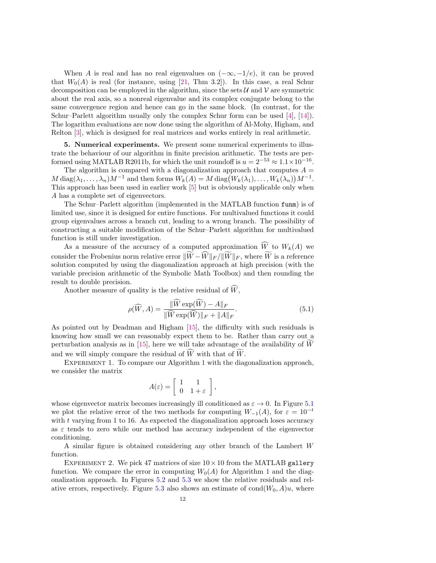When A is real and has no real eigenvalues on  $(-\infty, -1/e)$ , it can be proved that  $W_0(A)$  is real (for instance, using [\[21,](#page-17-9) Thm 3.2]). In this case, a real Schur decomposition can be employed in the algorithm, since the sets  $\mathcal{U}$  and  $\mathcal{V}$  are symmetric about the real axis, so a nonreal eigenvalue and its complex conjugate belong to the same convergence region and hence can go in the same block. (In contrast, for the Schur–Parlett algorithm usually only the complex Schur form can be used [\[4\]](#page-16-5), [\[14\]](#page-17-12)). The logarithm evaluations are now done using the algorithm of Al-Mohy, Higham, and Relton [\[3\]](#page-16-11), which is designed for real matrices and works entirely in real arithmetic.

<span id="page-12-0"></span>5. Numerical experiments. We present some numerical experiments to illustrate the behaviour of our algorithm in finite precision arithmetic. The tests are performed using MATLAB R2011b, for which the unit roundoff is  $u = 2^{-53} \approx 1.1 \times 10^{-16}$ .

The algorithm is compared with a diagonalization approach that computes  $A =$  $M \operatorname{diag}(\lambda_1, \ldots, \lambda_n) M^{-1}$  and then forms  $W_k(A) = M \operatorname{diag}(W_k(\lambda_1), \ldots, W_k(\lambda_n)) M^{-1}$ . This approach has been used in earlier work [\[5\]](#page-16-3) but is obviously applicable only when A has a complete set of eigenvectors.

The Schur–Parlett algorithm (implemented in the MATLAB function funm) is of limited use, since it is designed for entire functions. For multivalued functions it could group eigenvalues across a branch cut, leading to a wrong branch. The possibility of constructing a suitable modification of the Schur–Parlett algorithm for multivalued function is still under investigation.

As a measure of the accuracy of a computed approximation  $\widehat{W}$  to  $W_k(A)$  we consider the Frobenius norm relative error  $\|\widetilde{W}-\widehat{W}\|_F / \|\widetilde{W}\|_F$ , where  $\widetilde{W}$  is a reference solution computed by using the diagonalization approach at high precision (with the variable precision arithmetic of the Symbolic Math Toolbox) and then rounding the result to double precision.

Another measure of quality is the relative residual of  $\widehat{W}$ ,

<span id="page-12-1"></span>
$$
\rho(\widehat{W}, A) = \frac{\|\widehat{W} \exp(\widehat{W}) - A\|_F}{\|\widehat{W} \exp(\widehat{W})\|_F + \|A\|_F}.
$$
\n(5.1)

As pointed out by Deadman and Higham [\[15\]](#page-17-16), the difficulty with such residuals is knowing how small we can reasonably expect them to be. Rather than carry out a perturbation analysis as in [\[15\]](#page-17-16), here we will take advantage of the availability of  $\tilde{W}$ and we will simply compare the residual of  $\widehat{W}$  with that of  $\widetilde{W}$ .

EXPERIMENT [1](#page-11-0). To compare our Algorithm 1 with the diagonalization approach, we consider the matrix

$$
A(\varepsilon) = \left[ \begin{array}{cc} 1 & 1 \\ 0 & 1 + \varepsilon \end{array} \right],
$$

whose eigenvector matrix becomes increasingly ill conditioned as  $\varepsilon \to 0$ . In Figure [5.1](#page-2-0) we plot the relative error of the two methods for computing  $W_{-1}(A)$ , for  $\varepsilon = 10^{-t}$ with  $t$  varying from 1 to 16. As expected the diagonalization approach loses accuracy as  $\varepsilon$  tends to zero while our method has accuracy independent of the eigenvector conditioning.

A similar figure is obtained considering any other branch of the Lambert W function.

EXPERIMENT 2. We pick 47 matrices of size  $10 \times 10$  from the MATLAB gallery function. We compare the error in computing  $W_0(A)$  for Algorithm [1](#page-11-0) and the diagonalization approach. In Figures [5.2](#page-14-0) and [5.3](#page-14-1) we show the relative residuals and rel-ative errors, respectively. Figure [5.3](#page-14-1) also shows an estimate of  $cond(W_0, A)u$ , where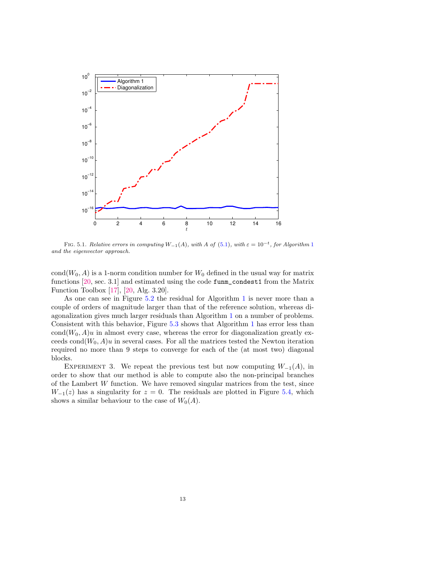

FIG. 5.[1](#page-11-0). Relative errors in computing  $W_{-1}(A)$ , with A of [\(5.1\)](#page-12-1), with  $\varepsilon = 10^{-t}$ , for Algorithm 1 and the eigenvector approach.

cond( $W_0$ , A) is a 1-norm condition number for  $W_0$  defined in the usual way for matrix functions [\[20,](#page-17-1) sec. 3.1] and estimated using the code funm\_condest1 from the Matrix Function Toolbox [\[17\]](#page-17-17), [\[20,](#page-17-1) Alg. 3.20].

As one can see in Figure [5.2](#page-14-0) the residual for Algorithm [1](#page-11-0) is never more than a couple of orders of magnitude larger than that of the reference solution, whereas diagonalization gives much larger residuals than Algorithm [1](#page-11-0) on a number of problems. Consistent with this behavior, Figure [5.3](#page-14-1) shows that Algorithm [1](#page-11-0) has error less than  $cond(W_0, A)u$  in almost every case, whereas the error for diagonalization greatly exceeds cond $(W_0, A)u$  in several cases. For all the matrices tested the Newton iteration required no more than 9 steps to converge for each of the (at most two) diagonal blocks.

EXPERIMENT 3. We repeat the previous test but now computing  $W_{-1}(A)$ , in order to show that our method is able to compute also the non-principal branches of the Lambert  $W$  function. We have removed singular matrices from the test, since  $W_{-1}(z)$  has a singularity for  $z = 0$ . The residuals are plotted in Figure [5.4,](#page-15-0) which shows a similar behaviour to the case of  $W_0(A)$ .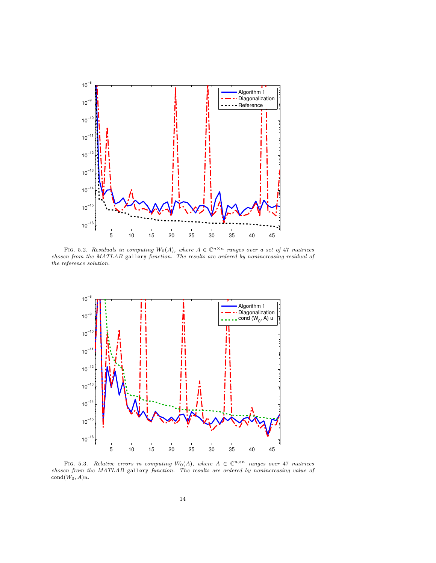

<span id="page-14-0"></span>FIG. 5.2. Residuals in computing  $W_0(A)$ , where  $A \in \mathbb{C}^{n \times n}$  ranges over a set of 47 matrices chosen from the MATLAB gallery function. The results are ordered by nonincreasing residual of the reference solution.



<span id="page-14-1"></span>FIG. 5.3. Relative errors in computing  $W_0(A)$ , where  $A \in \mathbb{C}^{n \times n}$  ranges over 47 matrices chosen from the MATLAB gallery function. The results are ordered by nonincreasing value of  $cond(W_0, A)u.$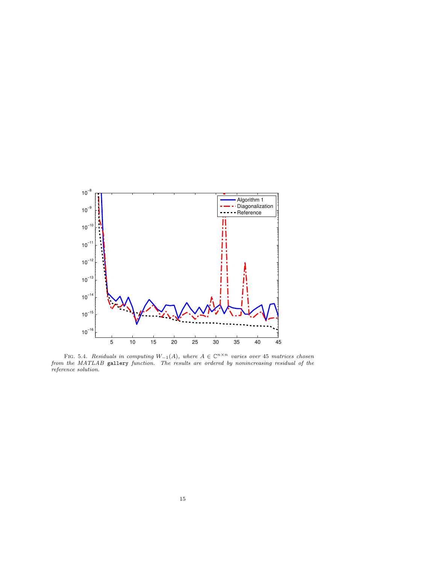

<span id="page-15-0"></span>FIG. 5.4. Residuals in computing  $W_{-1}(A)$ , where  $A \in \mathbb{C}^{n \times n}$  varies over 45 matrices chosen from the MATLAB gallery function. The results are ordered by nonincreasing residual of the reference solution.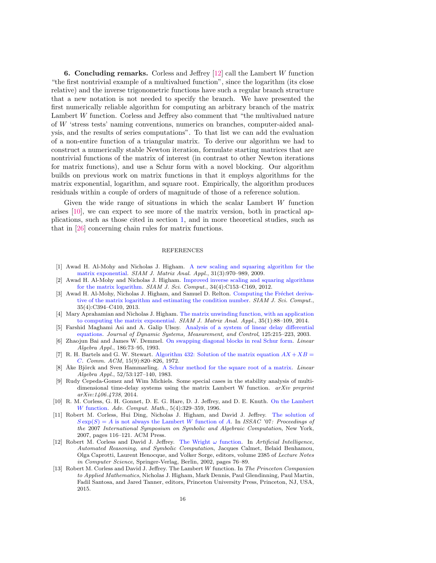**6. Concluding remarks.** Corless and Jeffrey  $[12]$  call the Lambert W function "the first nontrivial example of a multivalued function", since the logarithm (its close relative) and the inverse trigonometric functions have such a regular branch structure that a new notation is not needed to specify the branch. We have presented the first numerically reliable algorithm for computing an arbitrary branch of the matrix Lambert W function. Corless and Jeffrey also comment that "the multivalued nature of W 'stress tests' naming conventions, numerics on branches, computer-aided analysis, and the results of series computations". To that list we can add the evaluation of a non-entire function of a triangular matrix. To derive our algorithm we had to construct a numerically stable Newton iteration, formulate starting matrices that are nontrivial functions of the matrix of interest (in contrast to other Newton iterations for matrix functions), and use a Schur form with a novel blocking. Our algorithm builds on previous work on matrix functions in that it employs algorithms for the matrix exponential, logarithm, and square root. Empirically, the algorithm produces residuals within a couple of orders of magnitude of those of a reference solution.

Given the wide range of situations in which the scalar Lambert W function arises [\[10\]](#page-16-0), we can expect to see more of the matrix version, both in practical applications, such as those cited in section [1,](#page-1-1) and in more theoretical studies, such as that in [\[26\]](#page-17-18) concerning chain rules for matrix functions.

#### REFERENCES

- <span id="page-16-8"></span>[1] Awad H. Al-Mohy and Nicholas J. Higham. [A new scaling and squaring algorithm for the](http://dx.doi.org/10.1137/09074721X) [matrix exponential.](http://dx.doi.org/10.1137/09074721X) SIAM J. Matrix Anal. Appl., 31(3):970–989, 2009.
- <span id="page-16-9"></span>[2] Awad H. Al-Mohy and Nicholas J. Higham. [Improved inverse scaling and squaring algorithms](http://dx.doi.org/10.1137/110852553) [for the matrix logarithm.](http://dx.doi.org/10.1137/110852553) SIAM J. Sci. Comput., 34(4):C153–C169, 2012.
- <span id="page-16-11"></span>[3] Awad H. Al-Mohy, Nicholas J. Higham, and Samuel D. Relton. Computing the Fréchet deriva[tive of the matrix logarithm and estimating the condition number.](http://dx.doi.org/10.1137/120885991) SIAM J. Sci. Comput., 35(4):C394–C410, 2013.
- <span id="page-16-5"></span>[4] Mary Aprahamian and Nicholas J. Higham. [The matrix unwinding function, with an application](http://dx.doi.org/10.1137/130920137) [to computing the matrix exponential.](http://dx.doi.org/10.1137/130920137) SIAM J. Matrix Anal. Appl., 35(1):88–109, 2014.
- <span id="page-16-3"></span>[5] Farshid Maghami Asi and A. Galip Ulsoy. [Analysis of a system of linear delay differential](http://dx.doi.org/10.1115/1.1568121) [equations.](http://dx.doi.org/10.1115/1.1568121) Journal of Dynamic Systems, Measurement, and Control, 125:215–223, 2003.
- <span id="page-16-6"></span>[6] Zhaojun Bai and James W. Demmel. [On swapping diagonal blocks in real Schur form.](http://dx.doi.org/10.1016/0024-3795(93)90286-W) Linear Algebra Appl., 186:73–95, 1993.
- <span id="page-16-7"></span>[7] R. H. Bartels and G. W. Stewart. [Algorithm 432: Solution of the matrix equation](http://dx.doi.org/10.1145/361573.361582)  $AX + XB =$ [C](http://dx.doi.org/10.1145/361573.361582). Comm. ACM, 15(9):820–826, 1972.
- <span id="page-16-10"></span>[8] Åke Björck and Sven Hammarling. [A Schur method for the square root of a matrix.](http://dx.doi.org/10.1016/0024-3795(83)80010-X) Linear Algebra Appl., 52/53:127–140, 1983.
- <span id="page-16-4"></span>[9] Rudy Cepeda-Gomez and Wim Michiels. Some special cases in the stability analysis of multidimensional time-delay systems using the matrix Lambert W function.  $arXiv$  preprint arXiv:1406.4738, 2014.
- <span id="page-16-0"></span>[10] R. M. Corless, G. H. Gonnet, D. E. G. Hare, D. J. Jeffrey, and D. E. Knuth. [On the Lambert](http://dx.doi.org/10.1007/BF02124750) W [function.](http://dx.doi.org/10.1007/BF02124750) Adv. Comput. Math., 5(4):329–359, 1996.
- <span id="page-16-2"></span>[11] Robert M. Corless, Hui Ding, Nicholas J. Higham, and David J. Jeffrey. [The solution of](http://dx.doi.org/10.1145/1277548.1277565)  $S \exp(S) = A$  [is not always the Lambert](http://dx.doi.org/10.1145/1277548.1277565) W function of A. In ISSAC '07: Proceedings of the 2007 International Symposium on Symbolic and Algebraic Computation, New York, 2007, pages 116–121. ACM Press.
- <span id="page-16-12"></span>[12] Robert M. Corless and David J. Jeffrey. [The Wright](http://dx.doi.org/10.1007/3-540-45470-5_10)  $\omega$  function. In Artificial Intelligence, Automated Reasoning, and Symbolic Computation, Jacques Calmet, Belaid Benhamou, Olga Caprotti, Laurent Henocque, and Volker Sorge, editors, volume 2385 of Lecture Notes in Computer Science, Springer-Verlag, Berlin, 2002, pages 76–89.
- <span id="page-16-1"></span>[13] Robert M. Corless and David J. Jeffrey. The Lambert W function. In The Princeton Companion to Applied Mathematics, Nicholas J. Higham, Mark Dennis, Paul Glendinning, Paul Martin, Fadil Santosa, and Jared Tanner, editors, Princeton University Press, Princeton, NJ, USA, 2015.